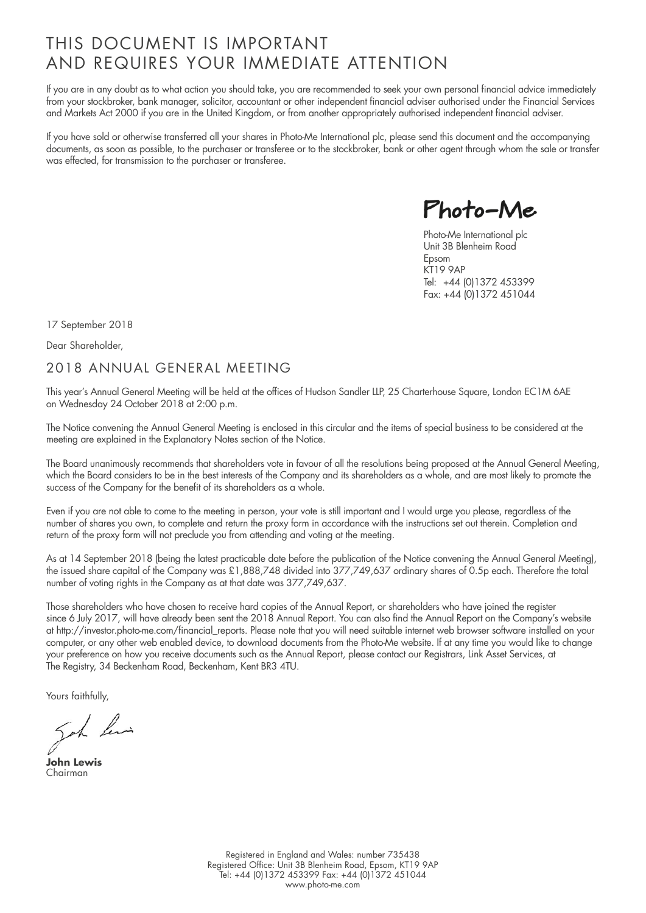## THIS DOCUMENT IS IMPORTANT AND REQUIRES YOUR IMMEDIATE ATTENTION

If you are in any doubt as to what action you should take, you are recommended to seek your own personal financial advice immediately from your stockbroker, bank manager, solicitor, accountant or other independent financial adviser authorised under the Financial Services and Markets Act 2000 if you are in the United Kingdom, or from another appropriately authorised independent financial adviser.

If you have sold or otherwise transferred all your shares in Photo-Me International plc, please send this document and the accompanying documents, as soon as possible, to the purchaser or transferee or to the stockbroker, bank or other agent through whom the sale or transfer was effected, for transmission to the purchaser or transferee.

Photo-Me

Photo-Me International plc Unit 3B Blenheim Road Epsom KT19 9AP Tel: +44 (0)1372 453399 Fax: +44 (0)1372 451044

17 September 2018

Dear Shareholder,

### 2018 ANNUAL GENERAL MEETING

This year's Annual General Meeting will be held at the offices of Hudson Sandler LLP, 25 Charterhouse Square, London EC1M 6AE on Wednesday 24 October 2018 at 2:00 p.m.

The Notice convening the Annual General Meeting is enclosed in this circular and the items of special business to be considered at the meeting are explained in the Explanatory Notes section of the Notice.

The Board unanimously recommends that shareholders vote in favour of all the resolutions being proposed at the Annual General Meeting, which the Board considers to be in the best interests of the Company and its shareholders as a whole, and are most likely to promote the success of the Company for the benefit of its shareholders as a whole.

Even if you are not able to come to the meeting in person, your vote is still important and I would urge you please, regardless of the number of shares you own, to complete and return the proxy form in accordance with the instructions set out therein. Completion and return of the proxy form will not preclude you from attending and voting at the meeting.

As at 14 September 2018 (being the latest practicable date before the publication of the Notice convening the Annual General Meeting), the issued share capital of the Company was £1,888,748 divided into 377,749,637 ordinary shares of 0.5p each. Therefore the total number of voting rights in the Company as at that date was 377,749,637.

Those shareholders who have chosen to receive hard copies of the Annual Report, or shareholders who have joined the register since 6 July 2017, will have already been sent the 2018 Annual Report. You can also find the Annual Report on the Company's website at http://investor.photo-me.com/financial\_reports. Please note that you will need suitable internet web browser software installed on your computer, or any other web enabled device, to download documents from the Photo-Me website. If at any time you would like to change your preference on how you receive documents such as the Annual Report, please contact our Registrars, Link Asset Services, at The Registry, 34 Beckenham Road, Beckenham, Kent BR3 4TU.

Yours faithfully,

Soh his

**John Lewis** Chairman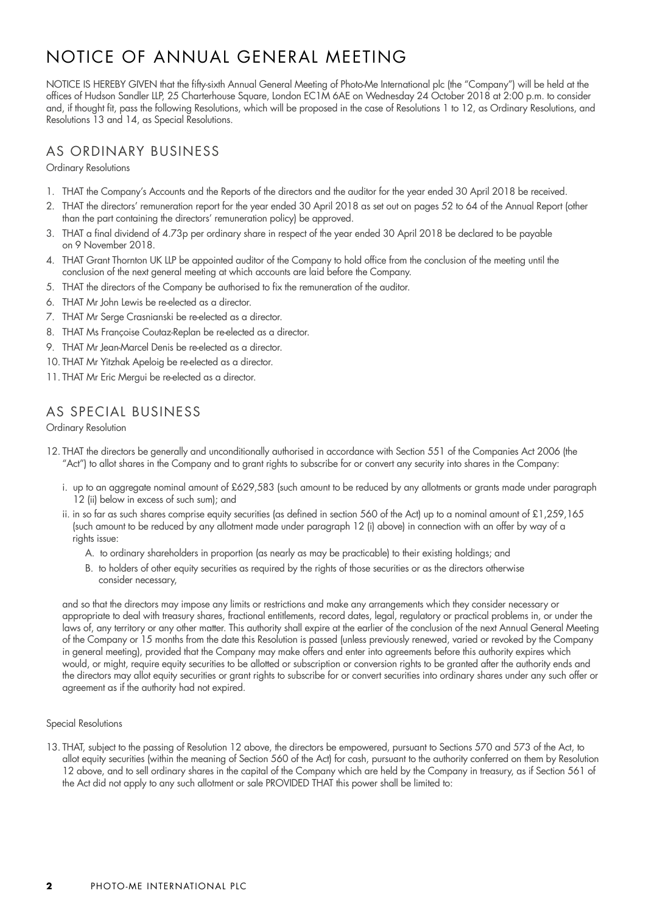# NOTICE OF ANNUAL GENERAL MEETING

NOTICE IS HEREBY GIVEN that the fifty-sixth Annual General Meeting of Photo-Me International plc (the "Company") will be held at the offices of Hudson Sandler LLP, 25 Charterhouse Square, London EC1M 6AE on Wednesday 24 October 2018 at 2:00 p.m. to consider and, if thought fit, pass the following Resolutions, which will be proposed in the case of Resolutions 1 to 12, as Ordinary Resolutions, and Resolutions 13 and 14, as Special Resolutions.

### AS ORDINARY BUSINESS

Ordinary Resolutions

- 1. THAT the Company's Accounts and the Reports of the directors and the auditor for the year ended 30 April 2018 be received.
- 2. THAT the directors' remuneration report for the year ended 30 April 2018 as set out on pages 52 to 64 of the Annual Report (other than the part containing the directors' remuneration policy) be approved.
- 3. THAT a final dividend of 4.73p per ordinary share in respect of the year ended 30 April 2018 be declared to be payable on 9 November 2018.
- 4. THAT Grant Thornton UK LLP be appointed auditor of the Company to hold office from the conclusion of the meeting until the conclusion of the next general meeting at which accounts are laid before the Company.
- 5. THAT the directors of the Company be authorised to fix the remuneration of the auditor.
- 6. THAT Mr John Lewis be re-elected as a director.
- 7. THAT Mr Serge Crasnianski be re-elected as a director.
- 8. THAT Ms Françoise Coutaz-Replan be re-elected as a director.
- 9. THAT Mr Jean-Marcel Denis be re-elected as a director.
- 10. THAT Mr Yitzhak Apeloig be re-elected as a director.
- 11. THAT Mr Eric Mergui be re-elected as a director.

## AS SPECIAL BUSINESS

Ordinary Resolution

- 12. THAT the directors be generally and unconditionally authorised in accordance with Section 551 of the Companies Act 2006 (the "Act") to allot shares in the Company and to grant rights to subscribe for or convert any security into shares in the Company:
	- i. up to an aggregate nominal amount of £629,583 (such amount to be reduced by any allotments or grants made under paragraph 12 (ii) below in excess of such sum); and
	- ii. in so far as such shares comprise equity securities (as defined in section 560 of the Act) up to a nominal amount of £1,259,165 (such amount to be reduced by any allotment made under paragraph 12 (i) above) in connection with an offer by way of a rights issue:
		- A. to ordinary shareholders in proportion (as nearly as may be practicable) to their existing holdings; and
		- B. to holders of other equity securities as required by the rights of those securities or as the directors otherwise consider necessary,

and so that the directors may impose any limits or restrictions and make any arrangements which they consider necessary or appropriate to deal with treasury shares, fractional entitlements, record dates, legal, regulatory or practical problems in, or under the laws of, any territory or any other matter. This authority shall expire at the earlier of the conclusion of the next Annual General Meeting of the Company or 15 months from the date this Resolution is passed (unless previously renewed, varied or revoked by the Company in general meeting), provided that the Company may make offers and enter into agreements before this authority expires which would, or might, require equity securities to be allotted or subscription or conversion rights to be granted after the authority ends and the directors may allot equity securities or grant rights to subscribe for or convert securities into ordinary shares under any such offer or agreement as if the authority had not expired.

#### Special Resolutions

13. THAT, subject to the passing of Resolution 12 above, the directors be empowered, pursuant to Sections 570 and 573 of the Act, to allot equity securities (within the meaning of Section 560 of the Act) for cash, pursuant to the authority conferred on them by Resolution 12 above, and to sell ordinary shares in the capital of the Company which are held by the Company in treasury, as if Section 561 of the Act did not apply to any such allotment or sale PROVIDED THAT this power shall be limited to: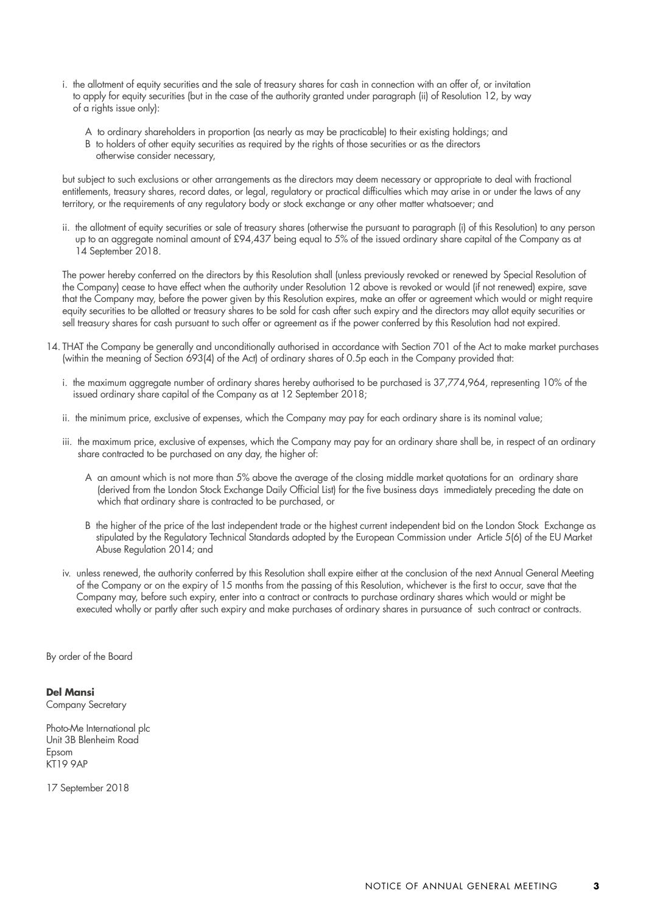- i. the allotment of equity securities and the sale of treasury shares for cash in connection with an offer of, or invitation to apply for equity securities (but in the case of the authority granted under paragraph (ii) of Resolution 12, by way of a rights issue only):
	- A to ordinary shareholders in proportion (as nearly as may be practicable) to their existing holdings; and
	- B to holders of other equity securities as required by the rights of those securities or as the directors
		- otherwise consider necessary,

but subject to such exclusions or other arrangements as the directors may deem necessary or appropriate to deal with fractional entitlements, treasury shares, record dates, or legal, regulatory or practical difficulties which may arise in or under the laws of any territory, or the requirements of any regulatory body or stock exchange or any other matter whatsoever; and

ii. the allotment of equity securities or sale of treasury shares (otherwise the pursuant to paragraph (i) of this Resolution) to any person up to an aggregate nominal amount of £94,437 being equal to 5% of the issued ordinary share capital of the Company as at 14 September 2018.

The power hereby conferred on the directors by this Resolution shall (unless previously revoked or renewed by Special Resolution of the Company) cease to have effect when the authority under Resolution 12 above is revoked or would (if not renewed) expire, save that the Company may, before the power given by this Resolution expires, make an offer or agreement which would or might require equity securities to be allotted or treasury shares to be sold for cash after such expiry and the directors may allot equity securities or sell treasury shares for cash pursuant to such offer or agreement as if the power conferred by this Resolution had not expired.

- 14. THAT the Company be generally and unconditionally authorised in accordance with Section 701 of the Act to make market purchases (within the meaning of Section 693(4) of the Act) of ordinary shares of 0.5p each in the Company provided that:
	- i. the maximum aggregate number of ordinary shares hereby authorised to be purchased is 37,774,964, representing 10% of the issued ordinary share capital of the Company as at 12 September 2018;
	- ii. the minimum price, exclusive of expenses, which the Company may pay for each ordinary share is its nominal value;
	- iii. the maximum price, exclusive of expenses, which the Company may pay for an ordinary share shall be, in respect of an ordinary share contracted to be purchased on any day, the higher of:
		- A an amount which is not more than 5% above the average of the closing middle market quotations for an ordinary share (derived from the London Stock Exchange Daily Official List) for the five business days immediately preceding the date on which that ordinary share is contracted to be purchased, or
		- B the higher of the price of the last independent trade or the highest current independent bid on the London Stock Exchange as stipulated by the Regulatory Technical Standards adopted by the European Commission under Article 5(6) of the EU Market Abuse Regulation 2014; and
	- iv. unless renewed, the authority conferred by this Resolution shall expire either at the conclusion of the next Annual General Meeting of the Company or on the expiry of 15 months from the passing of this Resolution, whichever is the first to occur, save that the Company may, before such expiry, enter into a contract or contracts to purchase ordinary shares which would or might be executed wholly or partly after such expiry and make purchases of ordinary shares in pursuance of such contract or contracts.

By order of the Board

#### **Del Mansi**

Company Secretary

Photo-Me International plc Unit 3B Blenheim Road Epsom KT19 9AP

17 September 2018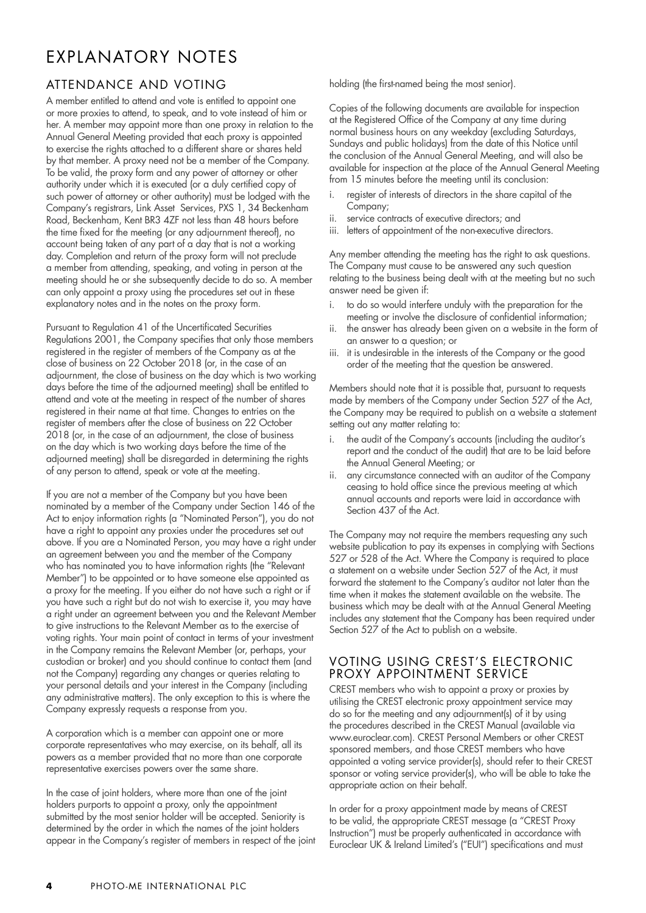## EXPLANATORY NOTES

### ATTENDANCE AND VOTING

A member entitled to attend and vote is entitled to appoint one or more proxies to attend, to speak, and to vote instead of him or her. A member may appoint more than one proxy in relation to the Annual General Meeting provided that each proxy is appointed to exercise the rights attached to a different share or shares held by that member. A proxy need not be a member of the Company. To be valid, the proxy form and any power of attorney or other authority under which it is executed (or a duly certified copy of such power of attorney or other authority) must be lodged with the Company's registrars, Link Asset Services, PXS 1, 34 Beckenham Road, Beckenham, Kent BR3 4ZF not less than 48 hours before the time fixed for the meeting (or any adjournment thereof), no account being taken of any part of a day that is not a working day. Completion and return of the proxy form will not preclude a member from attending, speaking, and voting in person at the meeting should he or she subsequently decide to do so. A member can only appoint a proxy using the procedures set out in these explanatory notes and in the notes on the proxy form.

Pursuant to Regulation 41 of the Uncertificated Securities Regulations 2001, the Company specifies that only those members registered in the register of members of the Company as at the close of business on 22 October 2018 (or, in the case of an adjournment, the close of business on the day which is two working days before the time of the adjourned meeting) shall be entitled to attend and vote at the meeting in respect of the number of shares registered in their name at that time. Changes to entries on the register of members after the close of business on 22 October 2018 (or, in the case of an adjournment, the close of business on the day which is two working days before the time of the adjourned meeting) shall be disregarded in determining the rights of any person to attend, speak or vote at the meeting.

If you are not a member of the Company but you have been nominated by a member of the Company under Section 146 of the Act to enjoy information rights (a "Nominated Person"), you do not have a right to appoint any proxies under the procedures set out above. If you are a Nominated Person, you may have a right under an agreement between you and the member of the Company who has nominated you to have information rights (the "Relevant Member") to be appointed or to have someone else appointed as a proxy for the meeting. If you either do not have such a right or if you have such a right but do not wish to exercise it, you may have a right under an agreement between you and the Relevant Member to give instructions to the Relevant Member as to the exercise of voting rights. Your main point of contact in terms of your investment in the Company remains the Relevant Member (or, perhaps, your custodian or broker) and you should continue to contact them (and not the Company) regarding any changes or queries relating to your personal details and your interest in the Company (including any administrative matters). The only exception to this is where the Company expressly requests a response from you.

A corporation which is a member can appoint one or more corporate representatives who may exercise, on its behalf, all its powers as a member provided that no more than one corporate representative exercises powers over the same share.

In the case of joint holders, where more than one of the joint holders purports to appoint a proxy, only the appointment submitted by the most senior holder will be accepted. Seniority is determined by the order in which the names of the joint holders appear in the Company's register of members in respect of the joint holding (the first-named being the most senior).

Copies of the following documents are available for inspection at the Registered Office of the Company at any time during normal business hours on any weekday (excluding Saturdays, Sundays and public holidays) from the date of this Notice until the conclusion of the Annual General Meeting, and will also be available for inspection at the place of the Annual General Meeting from 15 minutes before the meeting until its conclusion:

- i. register of interests of directors in the share capital of the Company;
- ii. service contracts of executive directors; and
- iii. letters of appointment of the non-executive directors.

Any member attending the meeting has the right to ask questions. The Company must cause to be answered any such question relating to the business being dealt with at the meeting but no such answer need be given if:

- i. to do so would interfere unduly with the preparation for the meeting or involve the disclosure of confidential information;
- ii. the answer has already been given on a website in the form of an answer to a question; or
- iii. it is undesirable in the interests of the Company or the good order of the meeting that the question be answered.

Members should note that it is possible that, pursuant to requests made by members of the Company under Section 527 of the Act, the Company may be required to publish on a website a statement setting out any matter relating to:

- i. the audit of the Company's accounts (including the auditor's report and the conduct of the audit) that are to be laid before the Annual General Meeting; or
- ii. any circumstance connected with an auditor of the Company ceasing to hold office since the previous meeting at which annual accounts and reports were laid in accordance with Section 437 of the Act.

The Company may not require the members requesting any such website publication to pay its expenses in complying with Sections 527 or 528 of the Act. Where the Company is required to place a statement on a website under Section 527 of the Act, it must forward the statement to the Company's auditor not later than the time when it makes the statement available on the website. The business which may be dealt with at the Annual General Meeting includes any statement that the Company has been required under Section 527 of the Act to publish on a website.

#### VOTING USING CREST'S ELECTRONIC PROXY APPOINTMENT SERVICE

CREST members who wish to appoint a proxy or proxies by utilising the CREST electronic proxy appointment service may do so for the meeting and any adjournment(s) of it by using the procedures described in the CREST Manual (available via www.euroclear.com). CREST Personal Members or other CREST sponsored members, and those CREST members who have appointed a voting service provider(s), should refer to their CREST sponsor or voting service provider(s), who will be able to take the appropriate action on their behalf.

In order for a proxy appointment made by means of CREST to be valid, the appropriate CREST message (a "CREST Proxy Instruction") must be properly authenticated in accordance with Euroclear UK & Ireland Limited's ("EUI") specifications and must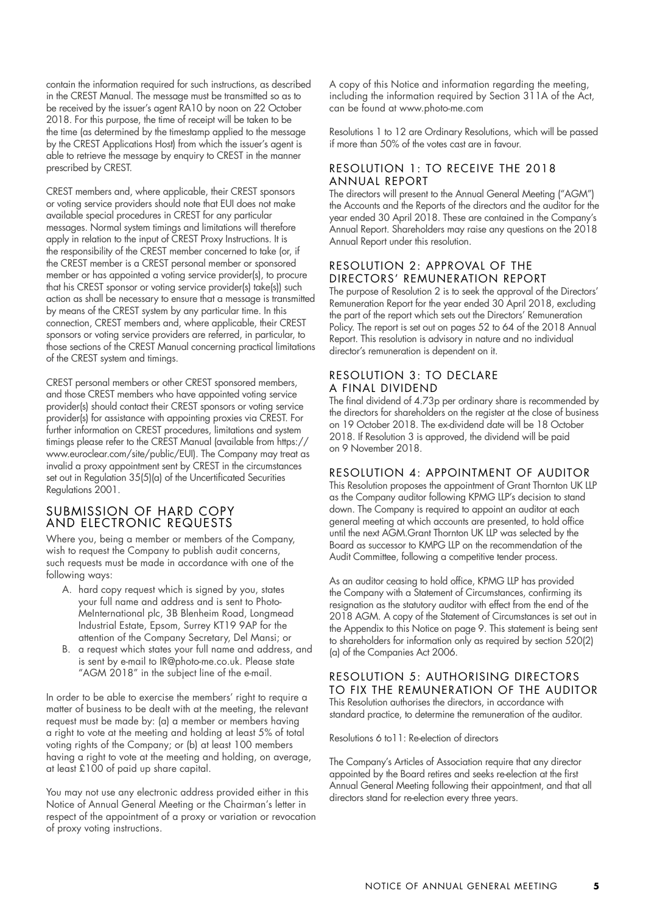contain the information required for such instructions, as described in the CREST Manual. The message must be transmitted so as to be received by the issuer's agent RA10 by noon on 22 October 2018. For this purpose, the time of receipt will be taken to be the time (as determined by the timestamp applied to the message by the CREST Applications Host) from which the issuer's agent is able to retrieve the message by enquiry to CREST in the manner prescribed by CREST.

CREST members and, where applicable, their CREST sponsors or voting service providers should note that EUI does not make available special procedures in CREST for any particular messages. Normal system timings and limitations will therefore apply in relation to the input of CREST Proxy Instructions. It is the responsibility of the CREST member concerned to take (or, if the CREST member is a CREST personal member or sponsored member or has appointed a voting service provider(s), to procure that his CREST sponsor or voting service provider(s) take(s)) such action as shall be necessary to ensure that a message is transmitted by means of the CREST system by any particular time. In this connection, CREST members and, where applicable, their CREST sponsors or voting service providers are referred, in particular, to those sections of the CREST Manual concerning practical limitations of the CREST system and timings.

CREST personal members or other CREST sponsored members, and those CREST members who have appointed voting service provider(s) should contact their CREST sponsors or voting service provider(s) for assistance with appointing proxies via CREST. For further information on CREST procedures, limitations and system timings please refer to the CREST Manual (available from https:// www.euroclear.com/site/public/EUI). The Company may treat as invalid a proxy appointment sent by CREST in the circumstances set out in Regulation 35(5)(a) of the Uncertificated Securities Regulations 2001.

#### SUBMISSION OF HARD COPY AND ELECTRONIC REQUESTS

Where you, being a member or members of the Company, wish to request the Company to publish audit concerns, such requests must be made in accordance with one of the following ways:

- A. hard copy request which is signed by you, states your full name and address and is sent to Photo-MeInternational plc, 3B Blenheim Road, Longmead Industrial Estate, Epsom, Surrey KT19 9AP for the attention of the Company Secretary, Del Mansi; or
- B. a request which states your full name and address, and is sent by e-mail to IR@photo-me.co.uk. Please state "AGM 2018" in the subject line of the e-mail.

In order to be able to exercise the members' right to require a matter of business to be dealt with at the meeting, the relevant request must be made by: (a) a member or members having a right to vote at the meeting and holding at least 5% of total voting rights of the Company; or (b) at least 100 members having a right to vote at the meeting and holding, on average, at least £100 of paid up share capital.

You may not use any electronic address provided either in this Notice of Annual General Meeting or the Chairman's letter in respect of the appointment of a proxy or variation or revocation of proxy voting instructions.

A copy of this Notice and information regarding the meeting, including the information required by Section 311A of the Act, can be found at www.photo-me.com

Resolutions 1 to 12 are Ordinary Resolutions, which will be passed if more than 50% of the votes cast are in favour.

#### RESOLUTION 1: TO RECEIVE THE 2018 ANNUAL REPORT

The directors will present to the Annual General Meeting ("AGM") the Accounts and the Reports of the directors and the auditor for the year ended 30 April 2018. These are contained in the Company's Annual Report. Shareholders may raise any questions on the 2018 Annual Report under this resolution.

#### RESOLUTION 2: APPROVAL OF THE DIRECTORS' REMUNERATION REPORT

The purpose of Resolution 2 is to seek the approval of the Directors' Remuneration Report for the year ended 30 April 2018, excluding the part of the report which sets out the Directors' Remuneration Policy. The report is set out on pages 52 to 64 of the 2018 Annual Report. This resolution is advisory in nature and no individual director's remuneration is dependent on it.

#### RESOLUTION 3: TO DECLARE A FINAL DIVIDEND

The final dividend of 4.73p per ordinary share is recommended by the directors for shareholders on the register at the close of business on 19 October 2018. The ex-dividend date will be 18 October 2018. If Resolution 3 is approved, the dividend will be paid on 9 November 2018.

#### RESOLUTION 4: APPOINTMENT OF AUDITOR

This Resolution proposes the appointment of Grant Thornton UK LLP as the Company auditor following KPMG LLP's decision to stand down. The Company is required to appoint an auditor at each general meeting at which accounts are presented, to hold office until the next AGM.Grant Thornton UK LLP was selected by the Board as successor to KMPG LLP on the recommendation of the Audit Committee, following a competitive tender process.

As an auditor ceasing to hold office, KPMG LLP has provided the Company with a Statement of Circumstances, confirming its resignation as the statutory auditor with effect from the end of the 2018 AGM. A copy of the Statement of Circumstances is set out in the Appendix to this Notice on page 9. This statement is being sent to shareholders for information only as required by section 520(2) (a) of the Companies Act 2006.

#### RESOLUTION 5: AUTHORISING DIRECTORS TO FIX THE REMUNERATION OF THE AUDITOR

This Resolution authorises the directors, in accordance with standard practice, to determine the remuneration of the auditor.

Resolutions 6 to11: Re-election of directors

The Company's Articles of Association require that any director appointed by the Board retires and seeks re-election at the first Annual General Meeting following their appointment, and that all directors stand for re-election every three years.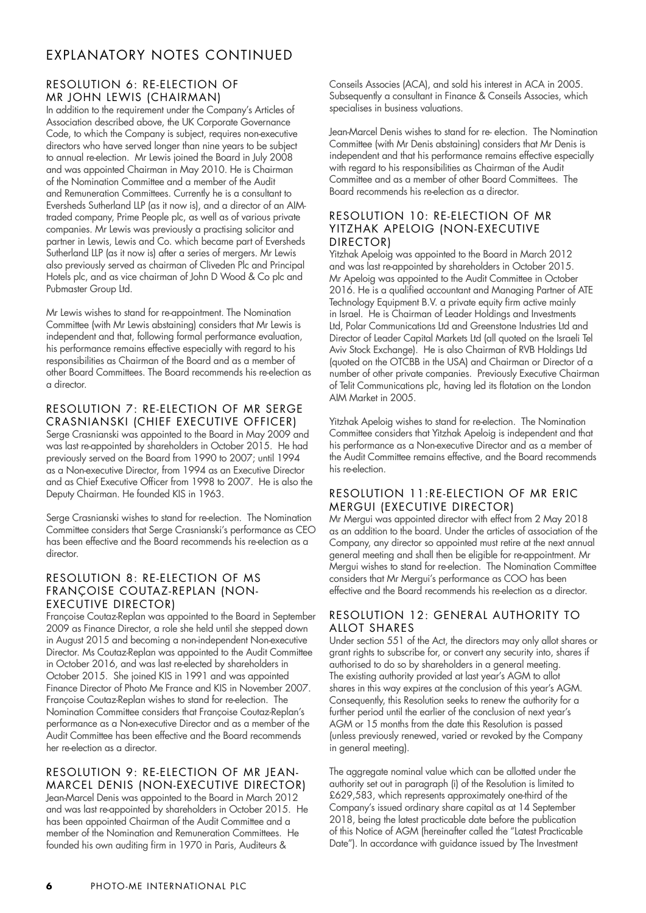## EXPLANATORY NOTES CONTINUED

#### RESOLUTION 6: RE-ELECTION OF MR JOHN LEWIS (CHAIRMAN)

In addition to the requirement under the Company's Articles of Association described above, the UK Corporate Governance Code, to which the Company is subject, requires non-executive directors who have served longer than nine years to be subject to annual re-election. Mr Lewis joined the Board in July 2008 and was appointed Chairman in May 2010. He is Chairman of the Nomination Committee and a member of the Audit and Remuneration Committees. Currently he is a consultant to Eversheds Sutherland LLP (as it now is), and a director of an AIMtraded company, Prime People plc, as well as of various private companies. Mr Lewis was previously a practising solicitor and partner in Lewis, Lewis and Co. which became part of Eversheds Sutherland LLP (as it now is) after a series of mergers. Mr Lewis also previously served as chairman of Cliveden Plc and Principal Hotels plc, and as vice chairman of John D Wood & Co plc and Pubmaster Group Ltd.

Mr Lewis wishes to stand for re-appointment. The Nomination Committee (with Mr Lewis abstaining) considers that Mr Lewis is independent and that, following formal performance evaluation, his performance remains effective especially with regard to his responsibilities as Chairman of the Board and as a member of other Board Committees. The Board recommends his re-election as a director.

#### RESOLUTION 7: RE-ELECTION OF MR SERGE CRASNIANSKI (CHIEF EXECUTIVE OFFICER)

Serge Crasnianski was appointed to the Board in May 2009 and was last re-appointed by shareholders in October 2015. He had previously served on the Board from 1990 to 2007; until 1994 as a Non-executive Director, from 1994 as an Executive Director and as Chief Executive Officer from 1998 to 2007. He is also the Deputy Chairman. He founded KIS in 1963.

Serge Crasnianski wishes to stand for re-election. The Nomination Committee considers that Serge Crasnianski's performance as CEO has been effective and the Board recommends his re-election as a director.

#### RESOLUTION 8: RE-ELECTION OF MS FRANÇOISE COUTAZ-REPLAN (NON-EXECUTIVE DIRECTOR)

Françoise Coutaz-Replan was appointed to the Board in September 2009 as Finance Director, a role she held until she stepped down in August 2015 and becoming a non-independent Non-executive Director. Ms Coutaz-Replan was appointed to the Audit Committee in October 2016, and was last re-elected by shareholders in October 2015. She joined KIS in 1991 and was appointed Finance Director of Photo Me France and KIS in November 2007. Françoise Coutaz-Replan wishes to stand for re-election. The Nomination Committee considers that Françoise Coutaz-Replan's performance as a Non-executive Director and as a member of the Audit Committee has been effective and the Board recommends her re-election as a director.

#### RESOLUTION 9: RE-ELECTION OF MR JEAN-MARCEL DENIS (NON-EXECUTIVE DIRECTOR)

Jean-Marcel Denis was appointed to the Board in March 2012 and was last re-appointed by shareholders in October 2015. He has been appointed Chairman of the Audit Committee and a member of the Nomination and Remuneration Committees. He founded his own auditing firm in 1970 in Paris, Auditeurs &

Conseils Associes (ACA), and sold his interest in ACA in 2005. Subsequently a consultant in Finance & Conseils Associes, which specialises in business valuations.

Jean-Marcel Denis wishes to stand for re- election. The Nomination Committee (with Mr Denis abstaining) considers that Mr Denis is independent and that his performance remains effective especially with regard to his responsibilities as Chairman of the Audit Committee and as a member of other Board Committees. The Board recommends his re-election as a director.

#### RESOLUTION 10: RE-ELECTION OF MR YITZHAK APELOIG (NON-EXECUTIVE DIRECTOR)

Yitzhak Apeloig was appointed to the Board in March 2012 and was last re-appointed by shareholders in October 2015. Mr Apeloig was appointed to the Audit Committee in October 2016. He is a qualified accountant and Managing Partner of ATE Technology Equipment B.V. a private equity firm active mainly in Israel. He is Chairman of Leader Holdings and Investments Ltd, Polar Communications Ltd and Greenstone Industries Ltd and Director of Leader Capital Markets Ltd (all quoted on the Israeli Tel Aviv Stock Exchange). He is also Chairman of RVB Holdings Ltd (quoted on the OTCBB in the USA) and Chairman or Director of a number of other private companies. Previously Executive Chairman of Telit Communications plc, having led its flotation on the London AIM Market in 2005.

Yitzhak Apeloig wishes to stand for re-election. The Nomination Committee considers that Yitzhak Apeloig is independent and that his performance as a Non-executive Director and as a member of the Audit Committee remains effective, and the Board recommends his re-election.

#### RESOLUTION 11:RE-ELECTION OF MR ERIC MERGUI (EXECUTIVE DIRECTOR)

Mr Mergui was appointed director with effect from 2 May 2018 as an addition to the board. Under the articles of association of the Company, any director so appointed must retire at the next annual general meeting and shall then be eligible for re-appointment. Mr Mergui wishes to stand for re-election. The Nomination Committee considers that Mr Mergui's performance as COO has been effective and the Board recommends his re-election as a director.

#### RESOLUTION 12: GENERAL AUTHORITY TO ALLOT SHARES

Under section 551 of the Act, the directors may only allot shares or grant rights to subscribe for, or convert any security into, shares if authorised to do so by shareholders in a general meeting. The existing authority provided at last year's AGM to allot shares in this way expires at the conclusion of this year's AGM. Consequently, this Resolution seeks to renew the authority for a further period until the earlier of the conclusion of next year's AGM or 15 months from the date this Resolution is passed (unless previously renewed, varied or revoked by the Company in general meeting).

The aggregate nominal value which can be allotted under the authority set out in paragraph (i) of the Resolution is limited to £629,583, which represents approximately one-third of the Company's issued ordinary share capital as at 14 September 2018, being the latest practicable date before the publication of this Notice of AGM (hereinafter called the "Latest Practicable Date"). In accordance with guidance issued by The Investment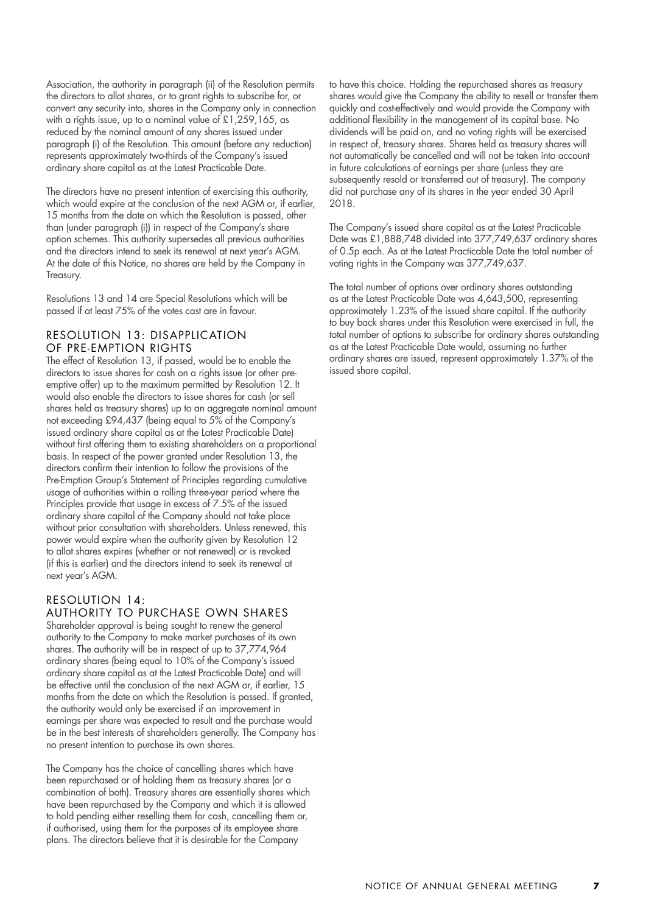Association, the authority in paragraph (ii) of the Resolution permits the directors to allot shares, or to grant rights to subscribe for, or convert any security into, shares in the Company only in connection with a rights issue, up to a nominal value of £1,259,165, as reduced by the nominal amount of any shares issued under paragraph (i) of the Resolution. This amount (before any reduction) represents approximately two-thirds of the Company's issued ordinary share capital as at the Latest Practicable Date.

The directors have no present intention of exercising this authority, which would expire at the conclusion of the next AGM or, if earlier, 15 months from the date on which the Resolution is passed, other than (under paragraph (i)) in respect of the Company's share option schemes. This authority supersedes all previous authorities and the directors intend to seek its renewal at next year's AGM. At the date of this Notice, no shares are held by the Company in Treasury.

Resolutions 13 and 14 are Special Resolutions which will be passed if at least 75% of the votes cast are in favour.

#### RESOLUTION 13: DISAPPLICATION OF PRE-EMPTION RIGHTS

The effect of Resolution 13, if passed, would be to enable the directors to issue shares for cash on a rights issue (or other preemptive offer) up to the maximum permitted by Resolution 12. It would also enable the directors to issue shares for cash (or sell shares held as treasury shares) up to an aggregate nominal amount not exceeding £94,437 (being equal to 5% of the Company's issued ordinary share capital as at the Latest Practicable Date) without first offering them to existing shareholders on a proportional basis. In respect of the power granted under Resolution 13, the directors confirm their intention to follow the provisions of the Pre-Emption Group's Statement of Principles regarding cumulative usage of authorities within a rolling three-year period where the Principles provide that usage in excess of 7.5% of the issued ordinary share capital of the Company should not take place without prior consultation with shareholders. Unless renewed, this power would expire when the authority given by Resolution 12 to allot shares expires (whether or not renewed) or is revoked (if this is earlier) and the directors intend to seek its renewal at next year's AGM.

#### RESOLUTION 14: AUTHORITY TO PURCHASE OWN SHARES

Shareholder approval is being sought to renew the general authority to the Company to make market purchases of its own shares. The authority will be in respect of up to 37,774,964 ordinary shares (being equal to 10% of the Company's issued ordinary share capital as at the Latest Practicable Date) and will be effective until the conclusion of the next AGM or, if earlier, 15 months from the date on which the Resolution is passed. If granted, the authority would only be exercised if an improvement in earnings per share was expected to result and the purchase would be in the best interests of shareholders generally. The Company has no present intention to purchase its own shares.

The Company has the choice of cancelling shares which have been repurchased or of holding them as treasury shares (or a combination of both). Treasury shares are essentially shares which have been repurchased by the Company and which it is allowed to hold pending either reselling them for cash, cancelling them or, if authorised, using them for the purposes of its employee share plans. The directors believe that it is desirable for the Company

to have this choice. Holding the repurchased shares as treasury shares would give the Company the ability to resell or transfer them quickly and cost-effectively and would provide the Company with additional flexibility in the management of its capital base. No dividends will be paid on, and no voting rights will be exercised in respect of, treasury shares. Shares held as treasury shares will not automatically be cancelled and will not be taken into account in future calculations of earnings per share (unless they are subsequently resold or transferred out of treasury). The company did not purchase any of its shares in the year ended 30 April 2018.

The Company's issued share capital as at the Latest Practicable Date was £1,888,748 divided into 377,749,637 ordinary shares of 0.5p each. As at the Latest Practicable Date the total number of voting rights in the Company was 377,749,637.

The total number of options over ordinary shares outstanding as at the Latest Practicable Date was 4,643,500, representing approximately 1.23% of the issued share capital. If the authority to buy back shares under this Resolution were exercised in full, the total number of options to subscribe for ordinary shares outstanding as at the Latest Practicable Date would, assuming no further ordinary shares are issued, represent approximately 1.37% of the issued share capital.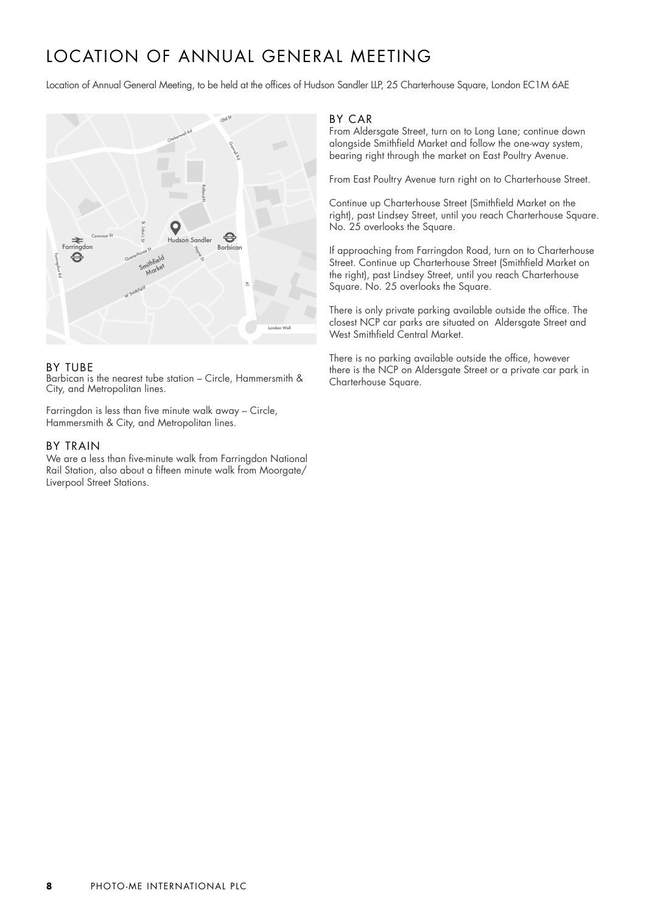# LOCATION OF ANNUAL GENERAL MEETING

Location of Annual General Meeting, to be held at the offices of Hudson Sandler LLP, 25 Charterhouse Square, London EC1M 6AE



#### BY TUBE

Barbican is the nearest tube station – Circle, Hammersmith & City, and Metropolitan lines.

Farringdon is less than five minute walk away – Circle, Hammersmith & City, and Metropolitan lines.

#### BY TRAIN

We are a less than five-minute walk from Farringdon National Rail Station, also about a fifteen minute walk from Moorgate/ Liverpool Street Stations.

#### BY CAR

From Aldersgate Street, turn on to Long Lane; continue down alongside Smithfield Market and follow the one-way system, bearing right through the market on East Poultry Avenue.

From East Poultry Avenue turn right on to Charterhouse Street.

Continue up Charterhouse Street (Smithfield Market on the right), past Lindsey Street, until you reach Charterhouse Square. No. 25 overlooks the Square.

If approaching from Farringdon Road, turn on to Charterhouse Street. Continue up Charterhouse Street (Smithfield Market on the right), past Lindsey Street, until you reach Charterhouse Square. No. 25 overlooks the Square.

There is only private parking available outside the office. The closest NCP car parks are situated on Aldersgate Street and West Smithfield Central Market.

There is no parking available outside the office, however there is the NCP on Aldersgate Street or a private car park in Charterhouse Square.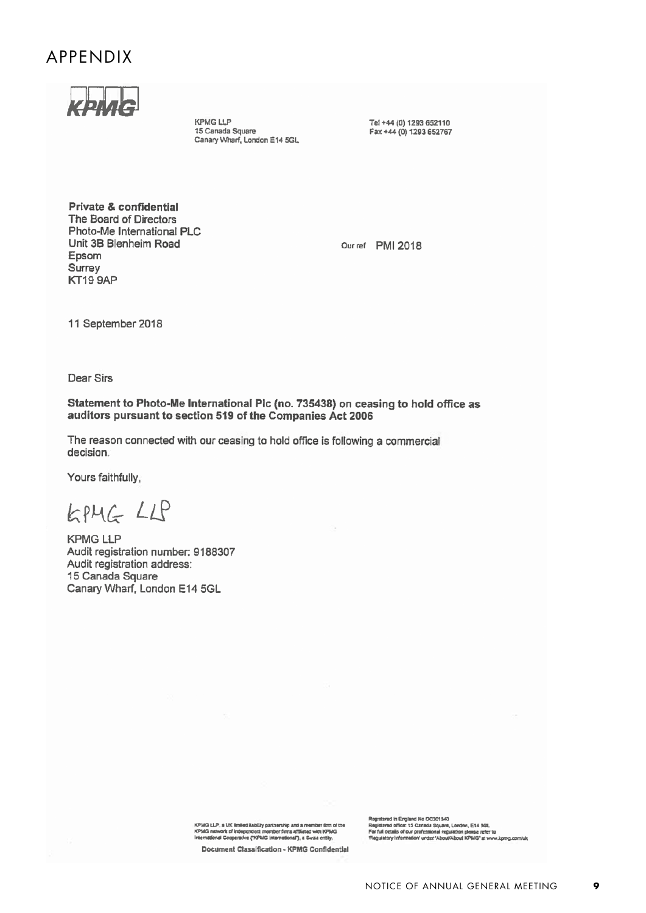## APPENDIX

**KPMG LLP** 15 Canada Square Canary Wharf, London E14 5GL Tel +44 (0) 1293 652110 Fax +44 (0) 1293 652767

Private & confidential The Board of Directors Photo-Me International PLC Unit 3B Blenheim Road Epsom Surrey KT19 9AP

Our ref PMI 2018

11 September 2018

Dear Sirs

Statement to Photo-Me International Plc (no. 735438) on ceasing to hold office as auditors pursuant to section 519 of the Companies Act 2006

The reason connected with our ceasing to hold office is following a commercial decision.

Yours faithfully,

KPMG LLP

**KPMG LLP** Audit registration number: 9188307 Audit registration address: 15 Canada Square Canary Wharf, London E14 5GL

KPMG LLP, a UK limited liability partnership and a member firm of the<br>KPMG network of independent member firms attiliated with KPMG<br>International Cooperative ("KPMG International"), a Swaa entity,

Document Classification - KPMG Confidential

Registerad in England No OC301543<br>Registerad office: 15 Canada Square, London, E14 3GL<br>For full details of cur professional regulation piessa refer la<br>Regulatory information' urder 'About/About KPMG' at www.lomg.com/uk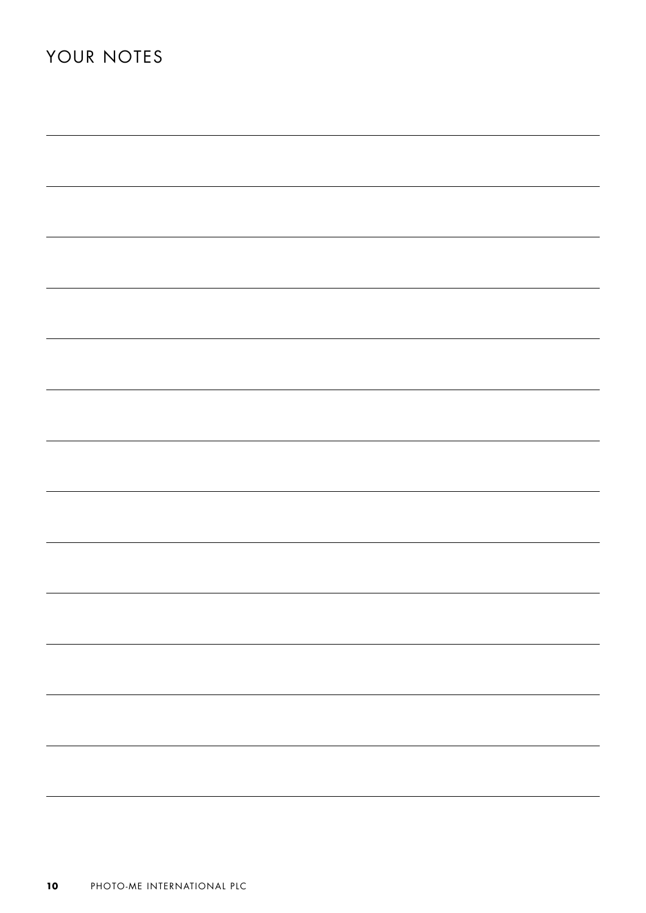| ,我们也不能在这里的时候,我们也不能在这里的时候,我们也不能在这里的时候,我们也不能会在这里的时候,我们也不能会在这里的时候,我们也不能会在这里的时候,我们也不                                      |  |  |
|-----------------------------------------------------------------------------------------------------------------------|--|--|
| ,我们也不能在这里的时候,我们也不能在这里的时候,我们也不能会在这里的时候,我们也不能会在这里的时候,我们也不能会在这里的时候,我们也不能会在这里的时候,我们也                                      |  |  |
|                                                                                                                       |  |  |
|                                                                                                                       |  |  |
|                                                                                                                       |  |  |
|                                                                                                                       |  |  |
| <u> 1989 - Johann Stein, marwolaethau a bhann an t-Alban ann an t-Alban an t-Alban ann an t-Alban an t-Alban ann </u> |  |  |
|                                                                                                                       |  |  |
|                                                                                                                       |  |  |
|                                                                                                                       |  |  |
|                                                                                                                       |  |  |
|                                                                                                                       |  |  |
|                                                                                                                       |  |  |
|                                                                                                                       |  |  |